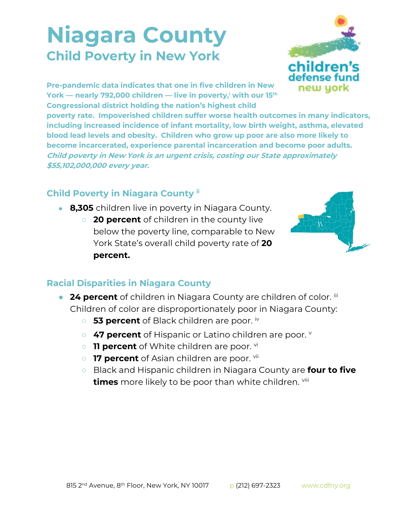## **Niagara County Child Poverty in New York**



**Pre-pandemic data indicates that one in five children in New York — nearly 792,000 children — live in poverty,<sup>i</sup> with our 15th Congressional district holding the nation's highest child** 

**poverty rate. Impoverished children suffer worse health outcomes in many indicators, including increased incidence of infant mortality, low birth weight, asthma, elevated blood lead levels and obesity. Children who grow up poor are also more likely to become incarcerated, experience parental incarceration and become poor adults. Child poverty in New York is an urgent crisis, costing our State approximately \$55,102,000,000 every year.**

## **Child Poverty in Niagara County ii**

- **8,305** children live in poverty in Niagara County.
	- **20 percent** of children in the county live below the poverty line, comparable to New York State's overall child poverty rate of **20 percent.**



## **Racial Disparities in Niagara County**

- **24 percent** of children in Niagara County are children of color. iii Children of color are disproportionately poor in Niagara County:
	- **53 percent** of Black children are poor. iv
	- **47 percent** of Hispanic or Latino children are poor.
	- **11 percent** of White children are poor. <sup>vi</sup>
	- **17 percent** of Asian children are poor. <sup>vii</sup>
	- Black and Hispanic children in Niagara County are **four to five times** more likely to be poor than white children. viii